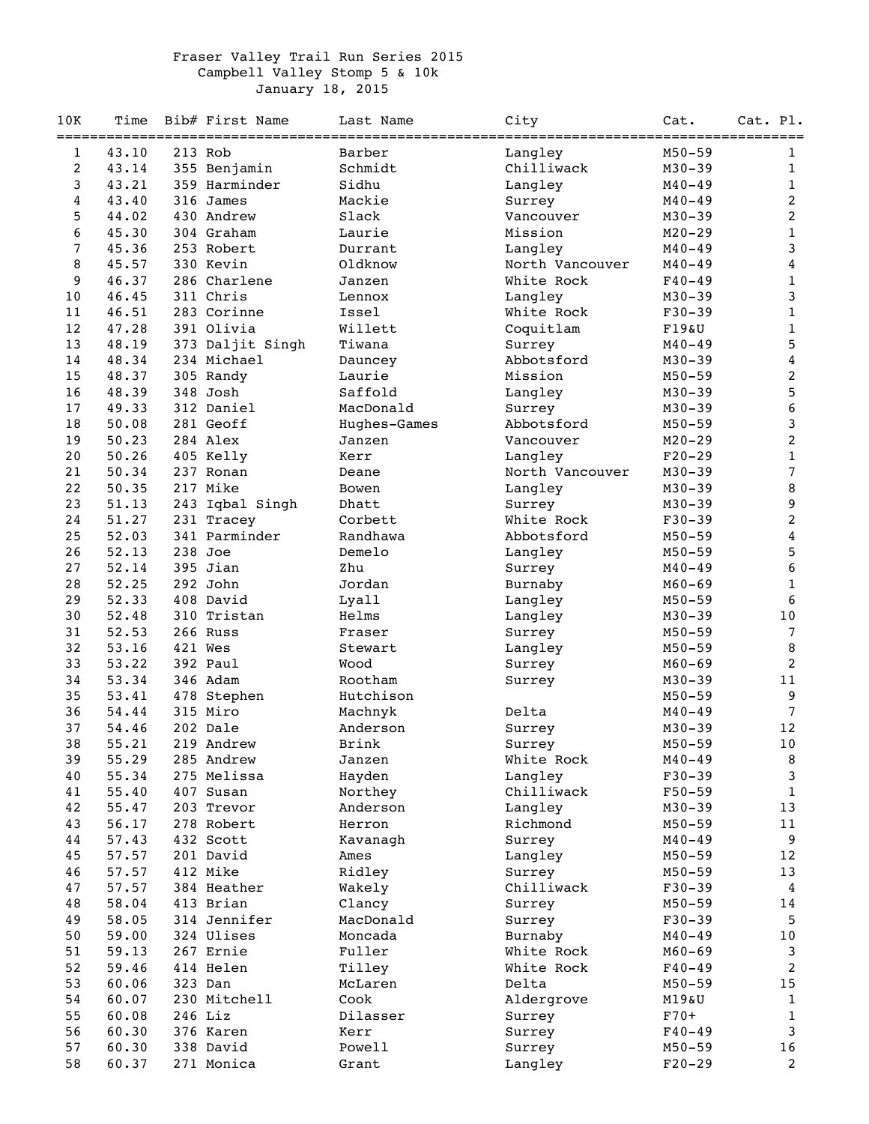## Fraser Valley Trail Run Series 2015 Campbell Valley Stomp 5 & 10k January 18, 2015

| 10K      | Time           | Bib# First Name     | Last Name       | City            | Cat.                     | Cat. Pl.                |
|----------|----------------|---------------------|-----------------|-----------------|--------------------------|-------------------------|
| 1        | 43.10          | 213 Rob             | Barber          | Langley         | $M50 - 59$               | $\mathbf{1}$            |
| 2        | 43.14          | 355 Benjamin        | Schmidt         | Chilliwack      | $M30 - 39$               | $\mathbf{1}$            |
| 3        | 43.21          | 359 Harminder       | Sidhu           | Langley         | $M40 - 49$               | $\mathbf{1}$            |
| 4        | 43.40          | 316 James           | Mackie          | Surrey          | $M40 - 49$               | $\overline{2}$          |
| 5        | 44.02          | 430 Andrew          | Slack           | Vancouver       | $M30 - 39$               | $\overline{a}$          |
| 6        | 45.30          | 304 Graham          | Laurie          | Mission         | $M20 - 29$               | $\,1$                   |
| 7        | 45.36          | 253 Robert          | Durrant         | Langley         | $M40 - 49$               | 3                       |
| 8        | 45.57          | 330 Kevin           | Oldknow         | North Vancouver | $M40 - 49$               | 4                       |
| 9        | 46.37          | 286 Charlene        | Janzen          | White Rock      | $F40 - 49$               | $\mathbf{1}$            |
| 10       | 46.45          | 311 Chris           | Lennox          | Langley         | $M30 - 39$               | 3                       |
| 11       | 46.51          | 283 Corinne         | Issel           | White Rock      | $F30-39$                 | $\mathbf{1}$            |
| 12       | 47.28          | 391 Olivia          | Willett         | Coquitlam       | F19&U                    | $\mathbf{1}$            |
| 13       | 48.19          | 373 Daljit Singh    | Tiwana          | Surrey          | $M40 - 49$               | 5                       |
| 14       | 48.34          | 234 Michael         | Dauncey         | Abbotsford      | $M30 - 39$               | $\overline{\mathbf{4}}$ |
| 15       | 48.37          | 305 Randy           | Laurie          | Mission         | $M50 - 59$               | $\boldsymbol{2}$        |
| 16       | 48.39          | 348 Josh            | Saffold         | Langley         | $M30 - 39$               | 5                       |
| 17       | 49.33          | 312 Daniel          | MacDonald       | Surrey          | $M30 - 39$               | $\boldsymbol{6}$        |
| 18       | 50.08          | 281 Geoff           | Hughes-Games    | Abbotsford      | $M50 - 59$               | 3                       |
| 19       | 50.23          | 284 Alex            | Janzen          | Vancouver       | $M20 - 29$               | $\overline{c}$          |
| 20       | 50.26          | 405 Kelly           | Kerr            | Langley         | $F20-29$                 | $1\,$                   |
| 21       | 50.34          | 237 Ronan           | Deane           | North Vancouver | $M30 - 39$               | $\overline{7}$          |
| 22       | 50.35          | 217 Mike            | Bowen           | Langley         | $M30 - 39$               | 8                       |
| 23       | 51.13          | 243 Iqbal Singh     | Dhatt           | Surrey          | $M30 - 39$               | 9                       |
| 24       | 51.27          | 231 Tracey          | Corbett         | White Rock      | $F30-39$                 | 2                       |
| 25       | 52.03          | 341 Parminder       | Randhawa        | Abbotsford      | $M50 - 59$               | $\bf 4$                 |
| 26       | 52.13          | 238 Joe             | Demelo          | Langley         | $M50 - 59$               | 5                       |
| 27       | 52.14          | 395 Jian            | Zhu             | Surrey          | $M40 - 49$               | $\sqrt{6}$              |
| 28       | 52.25          | 292 John            | Jordan          | Burnaby         | $M60 - 69$               | $\mathbf{1}$            |
| 29       | 52.33          | 408 David           | Lyall           | Langley         | $M50 - 59$               | 6                       |
| 30       | 52.48          | 310 Tristan         | Helms           | Langley         | $M30 - 39$               | 10                      |
| 31       | 52.53          | 266 Russ            | Fraser          | Surrey          | $M50 - 59$               | $\overline{7}$          |
| 32<br>33 | 53.16<br>53.22 | 421 Wes<br>392 Paul | Stewart<br>Wood | Langley         | $M50 - 59$               | 8<br>2                  |
| 34       | 53.34          | 346 Adam            | Rootham         | Surrey          | $M60 - 69$<br>$M30 - 39$ | 11                      |
| 35       | 53.41          | 478 Stephen         | Hutchison       | Surrey          | $M50 - 59$               | 9                       |
| 36       | 54.44          | 315 Miro            | Machnyk         | Delta           | $M40 - 49$               | $\overline{7}$          |
| 37       | 54.46          | 202 Dale            | Anderson        | Surrey          | $M30 - 39$               | 12                      |
| 38       | 55.21          | 219 Andrew          | <b>Brink</b>    | Surrey          | $M50 - 59$               | 10                      |
| 39       | 55.29          | 285 Andrew          | Janzen          | White Rock      | $M40 - 49$               | 8                       |
| 40       | 55.34          | 275 Melissa         | Hayden          | Langley         | $F30-39$                 | $\mathsf{3}$            |
| 41       | 55.40          | 407 Susan           | Northey         | Chilliwack      | $F50 - 59$               | $\mathbf{1}$            |
| 42       | 55.47          | 203 Trevor          | Anderson        | Langley         | $M30 - 39$               | 13                      |
| 43       | 56.17          | 278 Robert          | Herron          | Richmond        | $M50 - 59$               | 11                      |
| 44       | 57.43          | 432 Scott           | Kavanagh        | Surrey          | M40-49                   | 9                       |
| 45       | 57.57          | 201 David           | Ames            | Langley         | $M50 - 59$               | 12                      |
| 46       | 57.57          | 412 Mike            | Ridley          | Surrey          | $M50 - 59$               | 13                      |
| 47       | 57.57          | 384 Heather         | Wakely          | Chilliwack      | $F30-39$                 | $\overline{4}$          |
| 48       | 58.04          | 413 Brian           | Clancy          | Surrey          | $M50 - 59$               | 14                      |
| 49       | 58.05          | 314 Jennifer        | MacDonald       | Surrey          | $F30-39$                 | 5                       |
| 50       | 59.00          | 324 Ulises          | Moncada         | Burnaby         | $M40 - 49$               | 10                      |
| 51       | 59.13          | 267 Ernie           | Fuller          | White Rock      | $M60 - 69$               | 3                       |
| 52       | 59.46          | 414 Helen           | Tilley          | White Rock      | $F40 - 49$               | $\overline{c}$          |
| 53       | 60.06          | 323 Dan             | McLaren         | Delta           | $M50 - 59$               | 15                      |
| 54       | 60.07          | 230 Mitchell        | Cook            | Aldergrove      | M19&U                    | $\mathbf{1}$            |
| 55       | 60.08          | 246 Liz             | Dilasser        | Surrey          | $F70+$                   | $\mathbf{1}$            |
| 56       | 60.30          | 376 Karen           | Kerr            | Surrey          | $F40 - 49$               | 3                       |
| 57       | 60.30          | 338 David           | Powell          | Surrey          | $M50 - 59$               | 16                      |
| 58       | 60.37          | 271 Monica          | Grant           | Langley         | $F20-29$                 | $\overline{2}$          |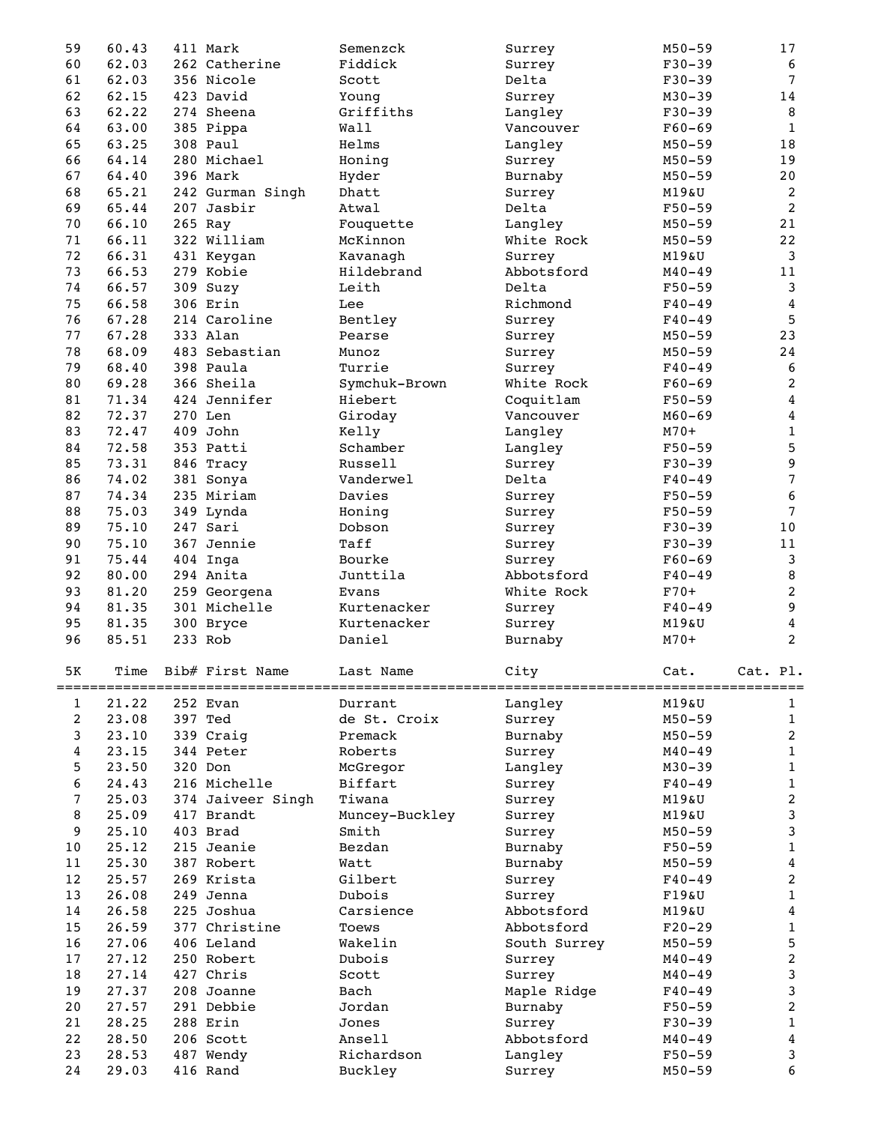| 59             | 60.43          | 411 Mark              | Semenzck              | Surrey            | $M50 - 59$               | 17                      |
|----------------|----------------|-----------------------|-----------------------|-------------------|--------------------------|-------------------------|
| 60             | 62.03          | 262 Catherine         | Fiddick               | Surrey            | $F30 - 39$               | $\boldsymbol{6}$        |
| 61             | 62.03          | 356 Nicole            | Scott                 | Delta             | $F30-39$                 | $7\phantom{.0}$         |
| 62             | 62.15          | 423 David             | Young                 | Surrey            | $M30 - 39$               | 14                      |
| 63             | 62.22          | 274 Sheena            | Griffiths             | Langley           | $F30-39$                 | $\, 8$                  |
| 64             | 63.00          | 385 Pippa             | Wall                  | Vancouver         | $F60-69$                 | $\mathbf{1}$            |
| 65             | 63.25          | 308 Paul              | Helms                 |                   | $M50 - 59$               | 18                      |
|                |                |                       |                       | Langley           |                          |                         |
| 66             | 64.14          | 280 Michael           | Honing                | Surrey            | $M50 - 59$               | 19                      |
| 67             | 64.40          | 396 Mark              | Hyder                 | Burnaby           | $M50 - 59$               | 20                      |
| 68             | 65.21          | 242 Gurman Singh      | Dhatt                 | Surrey            | M19&U                    | $\boldsymbol{2}$        |
| 69             | 65.44          | 207 Jasbir            | Atwal                 | Delta             | $F50 - 59$               | $\overline{2}$          |
| 70             | 66.10          | 265 Ray               | Fouquette             | Langley           | $M50 - 59$               | 21                      |
| 71             | 66.11          | 322 William           | McKinnon              | White Rock        | $M50 - 59$               | 22                      |
| 72             | 66.31          | 431 Keygan            | Kavanagh              | Surrey            | M19&U                    | $\mathsf{3}$            |
| 73             | 66.53          | 279 Kobie             | Hildebrand            | Abbotsford        | $M40 - 49$               | 11                      |
| 74             | 66.57          | 309 Suzy              | Leith                 | Delta             | $F50 - 59$               | $\mathbf{3}$            |
| 75             | 66.58          | 306 Erin              | Lee                   | Richmond          | $F40 - 49$               | $\overline{4}$          |
| 76             | 67.28          | 214 Caroline          | Bentley               | Surrey            | $F40 - 49$               | 5                       |
| 77             | 67.28          | 333 Alan              | Pearse                |                   | $M50 - 59$               | 23                      |
|                |                |                       |                       | Surrey            |                          |                         |
| 78             | 68.09          | 483 Sebastian         | Munoz                 | Surrey            | $M50 - 59$               | 24                      |
| 79             | 68.40          | 398 Paula             | Turrie                | Surrey            | $F40 - 49$               | $\boldsymbol{6}$        |
| 80             | 69.28          | 366 Sheila            | Symchuk-Brown         | White Rock        | $F60 - 69$               | $\boldsymbol{2}$        |
| 81             | 71.34          | 424 Jennifer          | Hiebert               | Coquitlam         | $F50 - 59$               | $\overline{4}$          |
| 82             | 72.37          | 270 Len               | Giroday               | Vancouver         | $M60 - 69$               | $\overline{4}$          |
| 83             | 72.47          | 409 John              | Kelly                 | Langley           | $M70+$                   | $\,1\,$                 |
| 84             | 72.58          | 353 Patti             | Schamber              | Langley           | $F50 - 59$               | $\overline{5}$          |
| 85             | 73.31          | 846 Tracy             | Russell               | Surrey            | $F30-39$                 | $\boldsymbol{9}$        |
| 86             | 74.02          | 381 Sonya             | Vanderwel             | Delta             | $F40 - 49$               | $\overline{7}$          |
| 87             | 74.34          | 235 Miriam            | Davies                | Surrey            | $F50 - 59$               | 6                       |
| 88             | 75.03          | 349 Lynda             | Honing                | Surrey            | $F50 - 59$               | $\overline{7}$          |
| 89             | 75.10          | 247 Sari              | Dobson                |                   | $F30-39$                 | 10                      |
|                |                |                       |                       | Surrey            |                          |                         |
| 90             | 75.10          | 367 Jennie            | Taff                  | Surrey            | $F30-39$                 | 11                      |
| 91             | 75.44          | 404 Inga              | Bourke                | Surrey            | $F60-69$                 | $\mathbf{3}$            |
| 92             |                |                       |                       |                   |                          |                         |
|                | 80.00          | 294 Anita             | Junttila              | Abbotsford        | $F40 - 49$               | 8                       |
| 93             | 81.20          | 259 Georgena          | Evans                 | White Rock        | $F70+$                   | $\overline{c}$          |
| 94             | 81.35          | 301 Michelle          | Kurtenacker           | Surrey            | $F40 - 49$               | $\boldsymbol{9}$        |
| 95             | 81.35          | 300 Bryce             | Kurtenacker           | Surrey            | M19&U                    | $\boldsymbol{4}$        |
| 96             | 85.51          | 233 Rob               | Daniel                | Burnaby           | $M70+$                   | $\overline{2}$          |
|                |                |                       |                       |                   |                          |                         |
| 5K             | Time           | Bib# First Name       | Last Name             | City              | Cat.                     | Cat. Pl.                |
|                |                |                       |                       |                   |                          |                         |
| 1              | 21.22          | 252 Evan              | Durrant               | Langley           | M19&U                    | 1                       |
| $\overline{c}$ | 23.08          | 397 Ted               | de St. Croix          | Surrey            | $M50 - 59$               | $\mathbf{1}$            |
| 3              | 23.10          | 339 Craig             | Premack               | Burnaby           | $M50 - 59$               | $\overline{a}$          |
| 4              | 23.15          | 344 Peter             | Roberts               | Surrey            | $M40 - 49$               | $\mathbf{1}$            |
| 5              | 23.50          | 320 Don               |                       |                   | $M30 - 39$               | $\mathbf{1}$            |
| 6              |                |                       | McGregor<br>Biffart   | Langley           |                          |                         |
|                | 24.43          | 216 Michelle          |                       | Surrey            | $F40 - 49$               | $\mathbf{1}$            |
| 7              | 25.03          | 374 Jaiveer Singh     | Tiwana                | Surrey            | M19&U                    | $\overline{c}$          |
| 8              | 25.09          | 417 Brandt            | Muncey-Buckley        | Surrey            | $M19\&U$                 | $\mathsf{3}$            |
| 9              | 25.10          | 403 Brad              | Smith                 | Surrey            | $M50 - 59$               | $\mathsf{3}$            |
| $10$           | 25.12          | 215 Jeanie            | Bezdan                | Burnaby           | $F50 - 59$               | $\,1$                   |
| 11             | 25.30          | 387 Robert            | Watt                  | Burnaby           | $M50 - 59$               | $\overline{\mathbf{4}}$ |
| 12             | 25.57          | 269 Krista            | Gilbert               | Surrey            | $F40 - 49$               | $\boldsymbol{2}$        |
| 13             | 26.08          | 249 Jenna             | Dubois                | Surrey            | F19&U                    | $\mathbf{1}$            |
| 14             | 26.58          | 225 Joshua            | Carsience             | Abbotsford        | M19&U                    | $\overline{\mathbf{4}}$ |
| 15             | 26.59          | 377 Christine         | Toews                 | Abbotsford        | $F20-29$                 | $1\,$                   |
| 16             | 27.06          | 406 Leland            | Wakelin               | South Surrey      | $M50 - 59$               | 5                       |
| 17             | 27.12          | 250 Robert            | Dubois                | Surrey            | $M40 - 49$               | $\boldsymbol{2}$        |
| 18             | 27.14          | 427 Chris             | Scott                 | Surrey            | $M40 - 49$               | $\mathsf 3$             |
| 19             | 27.37          | 208 Joanne            | Bach                  | Maple Ridge       | $F40 - 49$               | 3                       |
| 20             | 27.57          | 291 Debbie            | Jordan                |                   | $F50 - 59$               | $\overline{c}$          |
|                |                |                       |                       | Burnaby           |                          |                         |
| 21             | 28.25          | 288 Erin              | Jones                 | Surrey            | $F30-39$                 | $\,1$                   |
| 22             | 28.50          | 206 Scott             | Ansell                | Abbotsford        | $M40 - 49$               | $\overline{\mathbf{4}}$ |
| 23<br>24       | 28.53<br>29.03 | 487 Wendy<br>416 Rand | Richardson<br>Buckley | Langley<br>Surrey | $F50 - 59$<br>$M50 - 59$ | 3<br>6                  |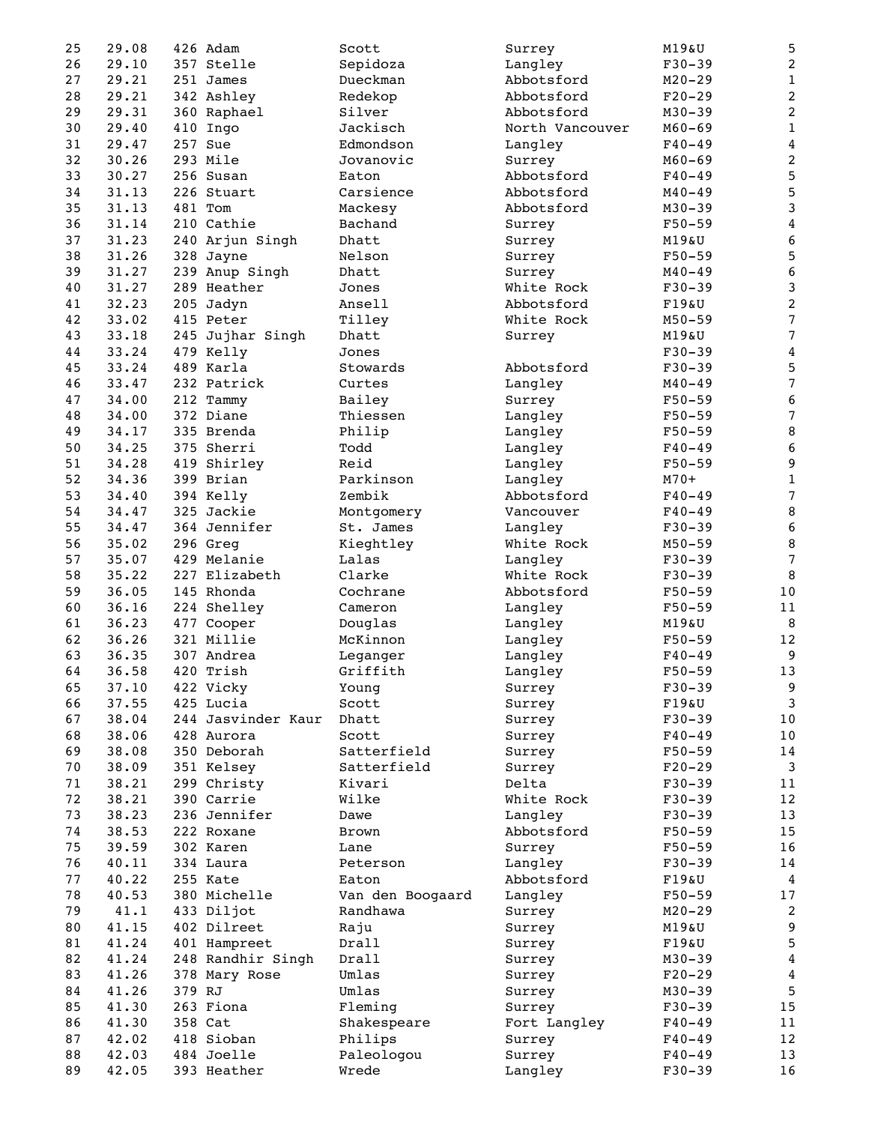| 25 | 29.08 |        | 426 Adam           | Scott            | Surrey          | M19&U      | 5                |
|----|-------|--------|--------------------|------------------|-----------------|------------|------------------|
| 26 | 29.10 |        | 357 Stelle         | Sepidoza         | Langley         | $F30-39$   | $\boldsymbol{2}$ |
| 27 | 29.21 |        | 251 James          | Dueckman         | Abbotsford      | $M20 - 29$ | $\mathbf{1}$     |
| 28 | 29.21 |        | 342 Ashley         | Redekop          | Abbotsford      | $F20-29$   | $\boldsymbol{2}$ |
| 29 | 29.31 |        | 360 Raphael        | Silver           | Abbotsford      | $M30 - 39$ | $\boldsymbol{2}$ |
| 30 | 29.40 |        | 410 Ingo           | Jackisch         | North Vancouver | $M60 - 69$ | $\mathbf 1$      |
| 31 | 29.47 |        | 257 Sue            | Edmondson        | Langley         | $F40 - 49$ | $\bf{4}$         |
| 32 | 30.26 |        | 293 Mile           | Jovanovic        | Surrey          | $M60 - 69$ | $\overline{c}$   |
| 33 | 30.27 |        | 256 Susan          | Eaton            | Abbotsford      | $F40 - 49$ | 5                |
| 34 | 31.13 |        | 226 Stuart         | Carsience        | Abbotsford      | $M40 - 49$ | $\mathbf 5$      |
| 35 | 31.13 |        | 481 Tom            | Mackesy          | Abbotsford      | $M30 - 39$ | 3                |
|    | 31.14 |        | 210 Cathie         | Bachand          |                 |            |                  |
| 36 |       |        |                    |                  | Surrey          | $F50 - 59$ | 4                |
| 37 | 31.23 |        | 240 Arjun Singh    | Dhatt            | Surrey          | M19&U      | $\boldsymbol{6}$ |
| 38 | 31.26 |        | 328 Jayne          | Nelson           | Surrey          | $F50 - 59$ | $\mathbf 5$      |
| 39 | 31.27 |        | 239 Anup Singh     | Dhatt            | Surrey          | $M40 - 49$ | $\sqrt{6}$       |
| 40 | 31.27 |        | 289 Heather        | Jones            | White Rock      | $F30-39$   | $\mathbf{3}$     |
| 41 | 32.23 |        | 205 Jadyn          | Ansell           | Abbotsford      | F19&U      | $\sqrt{2}$       |
| 42 | 33.02 |        | 415 Peter          | Tilley           | White Rock      | $M50 - 59$ | $\sqrt{ }$       |
| 43 | 33.18 |        | 245 Jujhar Singh   | Dhatt            | Surrey          | M19&U      | $\overline{7}$   |
| 44 | 33.24 |        | 479 Kelly          | Jones            |                 | $F30-39$   | 4                |
| 45 | 33.24 |        | 489 Karla          | Stowards         | Abbotsford      | $F30-39$   | 5                |
| 46 | 33.47 |        | 232 Patrick        | Curtes           | Langley         | $M40 - 49$ | $\overline{7}$   |
| 47 | 34.00 |        | 212 Tammy          | Bailey           | Surrey          | $F50 - 59$ | $\boldsymbol{6}$ |
| 48 | 34.00 |        | 372 Diane          | Thiessen         | Langley         | $F50 - 59$ | $\overline{7}$   |
| 49 | 34.17 |        | 335 Brenda         | Philip           | Langley         | $F50 - 59$ | 8                |
| 50 | 34.25 |        | 375 Sherri         | Todd             | Langley         | $F40 - 49$ | $\boldsymbol{6}$ |
| 51 | 34.28 |        | 419 Shirley        | Reid             | Langley         | $F50 - 59$ | 9                |
| 52 | 34.36 |        | 399 Brian          | Parkinson        | Langley         | $M70+$     | $\mathbf 1$      |
| 53 | 34.40 |        | 394 Kelly          | Zembik           | Abbotsford      | $F40 - 49$ | $\sqrt{ }$       |
| 54 | 34.47 |        | 325 Jackie         | Montgomery       | Vancouver       | $F40 - 49$ | 8                |
| 55 | 34.47 |        | 364 Jennifer       | St. James        | Langley         | $F30-39$   | $\sqrt{6}$       |
| 56 | 35.02 |        | 296 Greg           | Kieghtley        | White Rock      | $M50 - 59$ | 8                |
| 57 | 35.07 |        | 429 Melanie        | Lalas            | Langley         | $F30-39$   | $\overline{7}$   |
| 58 | 35.22 |        | 227 Elizabeth      | Clarke           | White Rock      | $F30-39$   | 8                |
|    |       |        |                    |                  |                 |            |                  |
| 59 | 36.05 |        | 145 Rhonda         | Cochrane         | Abbotsford      | $F50-59$   | 10               |
| 60 | 36.16 |        | 224 Shelley        | Cameron          | Langley         | $F50 - 59$ | 11               |
| 61 | 36.23 |        | 477 Cooper         | Douglas          | Langley         | M19&U      | 8                |
| 62 | 36.26 |        | 321 Millie         | McKinnon         | Langley         | $F50 - 59$ | 12               |
| 63 | 36.35 |        | 307 Andrea         | Leganger         | Langley         | $F40 - 49$ | 9                |
| 64 | 36.58 | 420    | Trish              | Griffith         | Langley         | $F50 - 59$ | 13               |
| 65 | 37.10 |        | 422 Vicky          | Young            | Surrey          | $F30-39$   | 9                |
| 66 | 37.55 |        | 425 Lucia          | Scott            | Surrey          | F19&U      | 3                |
| 67 | 38.04 |        | 244 Jasvinder Kaur | Dhatt            | Surrey          | $F30-39$   | $10$             |
| 68 | 38.06 |        | 428 Aurora         | Scott            | Surrey          | $F40 - 49$ | 10               |
| 69 | 38.08 |        | 350 Deborah        | Satterfield      | Surrey          | $F50 - 59$ | 14               |
| 70 | 38.09 |        | 351 Kelsey         | Satterfield      | Surrey          | $F20-29$   | 3                |
| 71 | 38.21 |        | 299 Christy        | Kivari           | Delta           | $F30-39$   | 11               |
| 72 | 38.21 |        | 390 Carrie         | Wilke            | White Rock      | $F30-39$   | 12               |
| 73 | 38.23 |        | 236 Jennifer       | Dawe             | Langley         | $F30-39$   | 13               |
| 74 | 38.53 |        | 222 Roxane         | <b>Brown</b>     | Abbotsford      | $F50 - 59$ | 15               |
| 75 | 39.59 |        | 302 Karen          | Lane             | Surrey          | $F50 - 59$ | 16               |
| 76 | 40.11 |        | 334 Laura          | Peterson         | Langley         | $F30-39$   | 14               |
| 77 | 40.22 |        | 255 Kate           | Eaton            | Abbotsford      | F19&U      | $\boldsymbol{4}$ |
| 78 | 40.53 |        | 380 Michelle       | Van den Boogaard | Langley         | $F50 - 59$ | 17               |
| 79 | 41.1  |        | 433 Diljot         | Randhawa         |                 |            | 2                |
| 80 | 41.15 |        | 402 Dilreet        |                  | Surrey          | $M20 - 29$ | $\boldsymbol{9}$ |
|    |       |        |                    | Raju             | Surrey          | M19&U      | 5                |
| 81 | 41.24 |        | 401 Hampreet       | Drall            | Surrey          | F19&U      |                  |
| 82 | 41.24 |        | 248 Randhir Singh  | Drall            | Surrey          | $M30 - 39$ | $\overline{4}$   |
| 83 | 41.26 |        | 378 Mary Rose      | Umlas            | Surrey          | $F20-29$   | $\overline{4}$   |
| 84 | 41.26 | 379 RJ |                    | Umlas            | Surrey          | $M30 - 39$ | $\overline{5}$   |
| 85 | 41.30 |        | 263 Fiona          | Fleming          | Surrey          | $F30-39$   | 15               |
| 86 | 41.30 |        | 358 Cat            | Shakespeare      | Fort Langley    | $F40 - 49$ | 11               |
| 87 | 42.02 |        | 418 Sioban         | Philips          | Surrey          | $F40 - 49$ | 12               |
| 88 | 42.03 |        | 484 Joelle         | Paleologou       | Surrey          | $F40 - 49$ | 13               |
| 89 | 42.05 |        | 393 Heather        | Wrede            | Langley         | $F30-39$   | 16               |